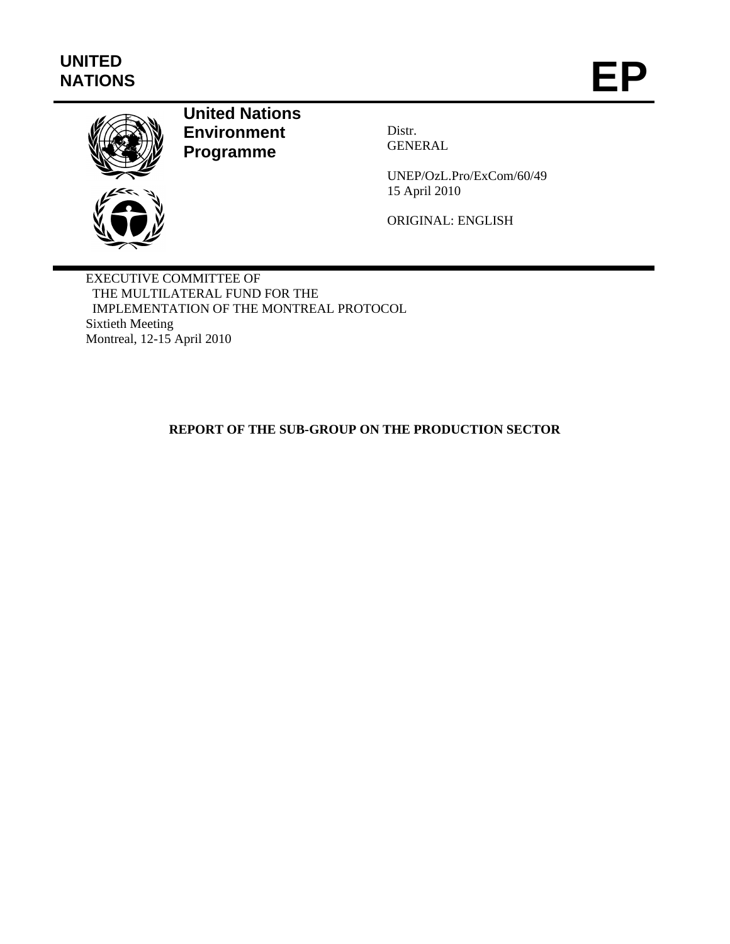# **UNITED** WATIONS



## **United Nations Environment Programme**

Distr. GENERAL

UNEP/OzL.Pro/ExCom/60/49 15 April 2010

ORIGINAL: ENGLISH

EXECUTIVE COMMITTEE OF THE MULTILATERAL FUND FOR THE IMPLEMENTATION OF THE MONTREAL PROTOCOL Sixtieth Meeting Montreal, 12-15 April 2010

### **REPORT OF THE SUB-GROUP ON THE PRODUCTION SECTOR**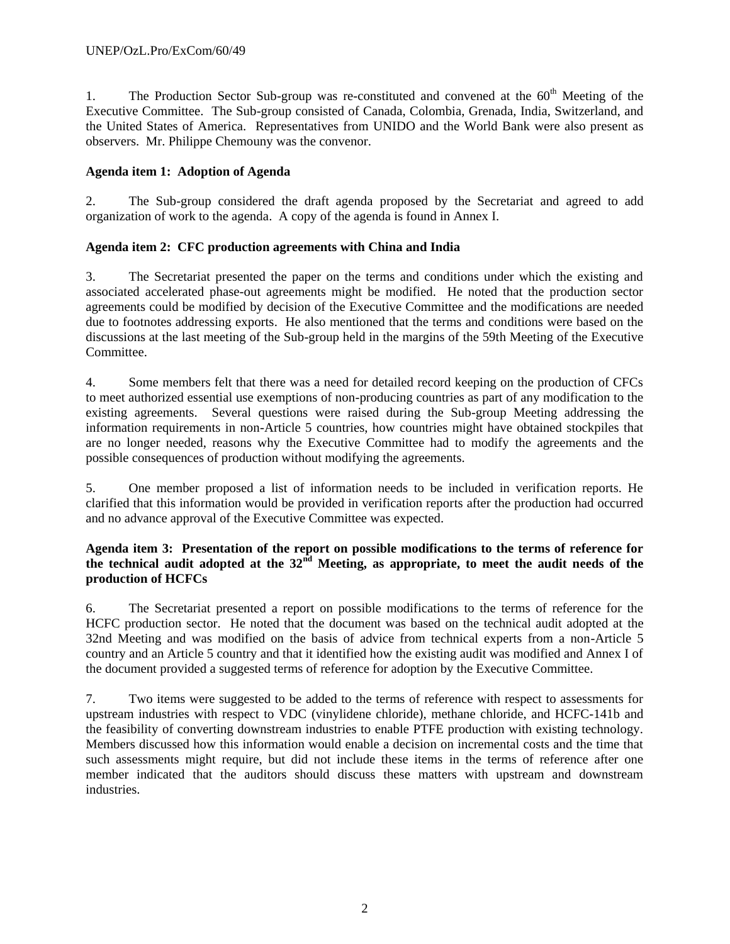1. The Production Sector Sub-group was re-constituted and convened at the  $60<sup>th</sup>$  Meeting of the Executive Committee. The Sub-group consisted of Canada, Colombia, Grenada, India, Switzerland, and the United States of America. Representatives from UNIDO and the World Bank were also present as observers. Mr. Philippe Chemouny was the convenor.

#### **Agenda item 1: Adoption of Agenda**

2. The Sub-group considered the draft agenda proposed by the Secretariat and agreed to add organization of work to the agenda. A copy of the agenda is found in Annex I.

#### **Agenda item 2: CFC production agreements with China and India**

3. The Secretariat presented the paper on the terms and conditions under which the existing and associated accelerated phase-out agreements might be modified. He noted that the production sector agreements could be modified by decision of the Executive Committee and the modifications are needed due to footnotes addressing exports. He also mentioned that the terms and conditions were based on the discussions at the last meeting of the Sub-group held in the margins of the 59th Meeting of the Executive Committee.

4. Some members felt that there was a need for detailed record keeping on the production of CFCs to meet authorized essential use exemptions of non-producing countries as part of any modification to the existing agreements. Several questions were raised during the Sub-group Meeting addressing the information requirements in non-Article 5 countries, how countries might have obtained stockpiles that are no longer needed, reasons why the Executive Committee had to modify the agreements and the possible consequences of production without modifying the agreements.

5. One member proposed a list of information needs to be included in verification reports. He clarified that this information would be provided in verification reports after the production had occurred and no advance approval of the Executive Committee was expected.

#### **Agenda item 3: Presentation of the report on possible modifications to the terms of reference for the technical audit adopted at the 32nd Meeting, as appropriate, to meet the audit needs of the production of HCFCs**

6. The Secretariat presented a report on possible modifications to the terms of reference for the HCFC production sector. He noted that the document was based on the technical audit adopted at the 32nd Meeting and was modified on the basis of advice from technical experts from a non-Article 5 country and an Article 5 country and that it identified how the existing audit was modified and Annex I of the document provided a suggested terms of reference for adoption by the Executive Committee.

7. Two items were suggested to be added to the terms of reference with respect to assessments for upstream industries with respect to VDC (vinylidene chloride), methane chloride, and HCFC-141b and the feasibility of converting downstream industries to enable PTFE production with existing technology. Members discussed how this information would enable a decision on incremental costs and the time that such assessments might require, but did not include these items in the terms of reference after one member indicated that the auditors should discuss these matters with upstream and downstream industries.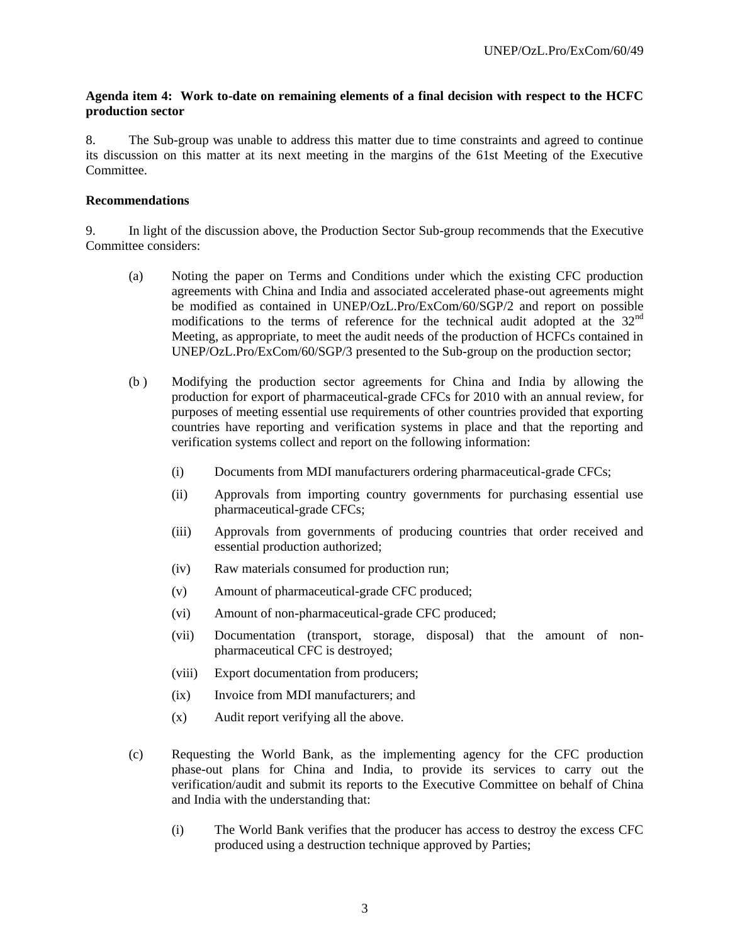#### **Agenda item 4: Work to-date on remaining elements of a final decision with respect to the HCFC production sector**

8. The Sub-group was unable to address this matter due to time constraints and agreed to continue its discussion on this matter at its next meeting in the margins of the 61st Meeting of the Executive Committee.

#### **Recommendations**

9. In light of the discussion above, the Production Sector Sub-group recommends that the Executive Committee considers:

- (a) Noting the paper on Terms and Conditions under which the existing CFC production agreements with China and India and associated accelerated phase-out agreements might be modified as contained in UNEP/OzL.Pro/ExCom/60/SGP/2 and report on possible modifications to the terms of reference for the technical audit adopted at the  $32<sup>nd</sup>$ Meeting, as appropriate, to meet the audit needs of the production of HCFCs contained in UNEP/OzL.Pro/ExCom/60/SGP/3 presented to the Sub-group on the production sector;
- (b ) Modifying the production sector agreements for China and India by allowing the production for export of pharmaceutical-grade CFCs for 2010 with an annual review, for purposes of meeting essential use requirements of other countries provided that exporting countries have reporting and verification systems in place and that the reporting and verification systems collect and report on the following information:
	- (i) Documents from MDI manufacturers ordering pharmaceutical-grade CFCs;
	- (ii) Approvals from importing country governments for purchasing essential use pharmaceutical-grade CFCs;
	- (iii) Approvals from governments of producing countries that order received and essential production authorized;
	- (iv) Raw materials consumed for production run;
	- (v) Amount of pharmaceutical-grade CFC produced;
	- (vi) Amount of non-pharmaceutical-grade CFC produced;
	- (vii) Documentation (transport, storage, disposal) that the amount of nonpharmaceutical CFC is destroyed;
	- (viii) Export documentation from producers;
	- (ix) Invoice from MDI manufacturers; and
	- (x) Audit report verifying all the above.
- (c) Requesting the World Bank, as the implementing agency for the CFC production phase-out plans for China and India, to provide its services to carry out the verification/audit and submit its reports to the Executive Committee on behalf of China and India with the understanding that:
	- (i) The World Bank verifies that the producer has access to destroy the excess CFC produced using a destruction technique approved by Parties;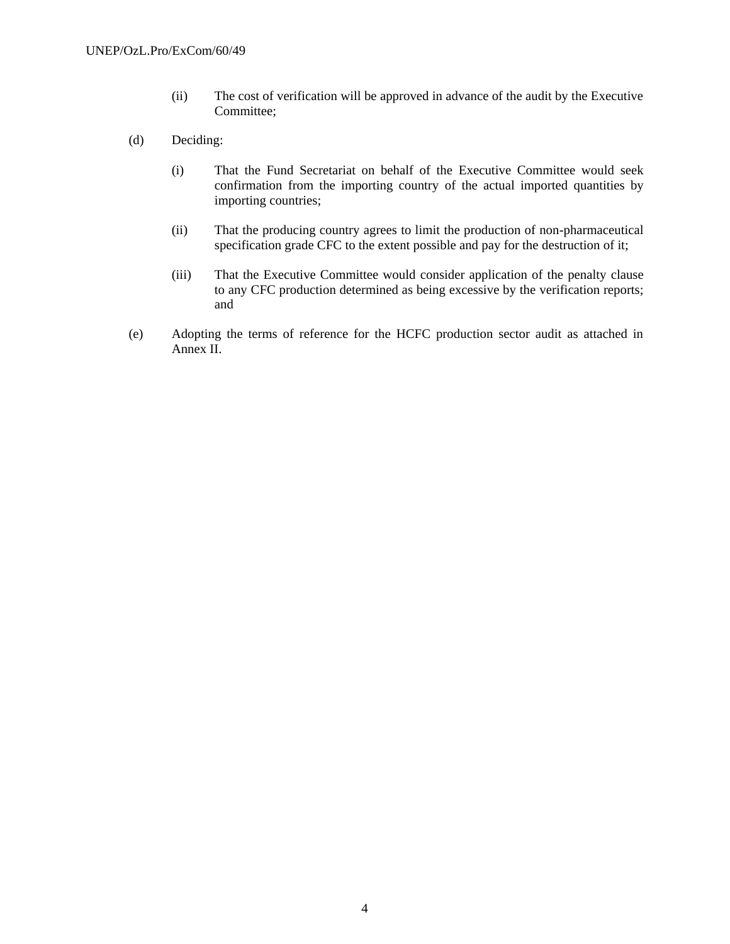- (ii) The cost of verification will be approved in advance of the audit by the Executive Committee;
- (d) Deciding:
	- (i) That the Fund Secretariat on behalf of the Executive Committee would seek confirmation from the importing country of the actual imported quantities by importing countries;
	- (ii) That the producing country agrees to limit the production of non-pharmaceutical specification grade CFC to the extent possible and pay for the destruction of it;
	- (iii) That the Executive Committee would consider application of the penalty clause to any CFC production determined as being excessive by the verification reports; and
- (e) Adopting the terms of reference for the HCFC production sector audit as attached in Annex II.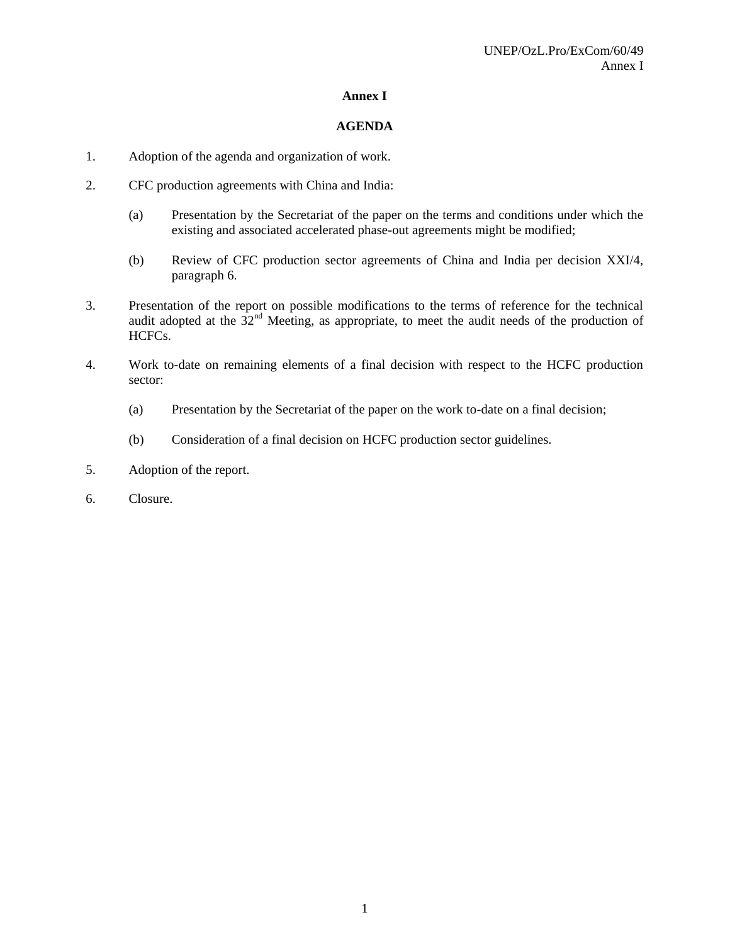#### **Annex I**

#### **AGENDA**

- 1. Adoption of the agenda and organization of work.
- 2. CFC production agreements with China and India:
	- (a) Presentation by the Secretariat of the paper on the terms and conditions under which the existing and associated accelerated phase-out agreements might be modified;
	- (b) Review of CFC production sector agreements of China and India per decision XXI/4, paragraph 6.
- 3. Presentation of the report on possible modifications to the terms of reference for the technical audit adopted at the  $32<sup>nd</sup>$  Meeting, as appropriate, to meet the audit needs of the production of HCFCs.
- 4. Work to-date on remaining elements of a final decision with respect to the HCFC production sector:
	- (a) Presentation by the Secretariat of the paper on the work to-date on a final decision;
	- (b) Consideration of a final decision on HCFC production sector guidelines.
- 5. Adoption of the report.
- 6. Closure.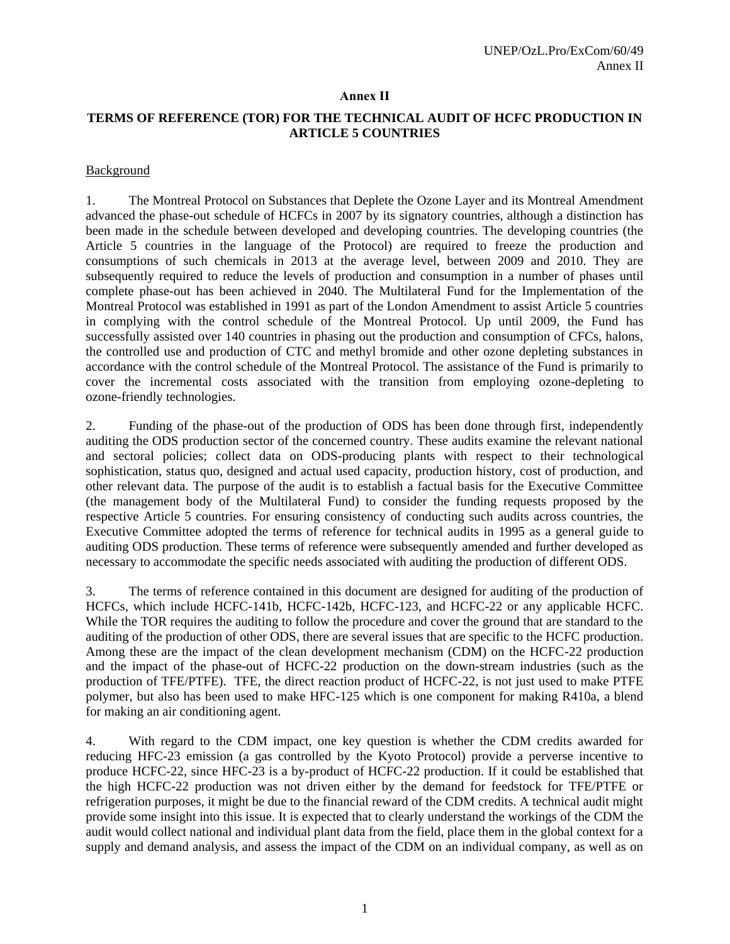#### **Annex II**

#### **TERMS OF REFERENCE (TOR) FOR THE TECHNICAL AUDIT OF HCFC PRODUCTION IN ARTICLE 5 COUNTRIES**

#### **Background**

1. The Montreal Protocol on Substances that Deplete the Ozone Layer and its Montreal Amendment advanced the phase-out schedule of HCFCs in 2007 by its signatory countries, although a distinction has been made in the schedule between developed and developing countries. The developing countries (the Article 5 countries in the language of the Protocol) are required to freeze the production and consumptions of such chemicals in 2013 at the average level, between 2009 and 2010. They are subsequently required to reduce the levels of production and consumption in a number of phases until complete phase-out has been achieved in 2040. The Multilateral Fund for the Implementation of the Montreal Protocol was established in 1991 as part of the London Amendment to assist Article 5 countries in complying with the control schedule of the Montreal Protocol. Up until 2009, the Fund has successfully assisted over 140 countries in phasing out the production and consumption of CFCs, halons, the controlled use and production of CTC and methyl bromide and other ozone depleting substances in accordance with the control schedule of the Montreal Protocol. The assistance of the Fund is primarily to cover the incremental costs associated with the transition from employing ozone-depleting to ozone-friendly technologies.

2. Funding of the phase-out of the production of ODS has been done through first, independently auditing the ODS production sector of the concerned country. These audits examine the relevant national and sectoral policies; collect data on ODS-producing plants with respect to their technological sophistication, status quo, designed and actual used capacity, production history, cost of production, and other relevant data. The purpose of the audit is to establish a factual basis for the Executive Committee (the management body of the Multilateral Fund) to consider the funding requests proposed by the respective Article 5 countries. For ensuring consistency of conducting such audits across countries, the Executive Committee adopted the terms of reference for technical audits in 1995 as a general guide to auditing ODS production. These terms of reference were subsequently amended and further developed as necessary to accommodate the specific needs associated with auditing the production of different ODS.

3. The terms of reference contained in this document are designed for auditing of the production of HCFCs, which include HCFC-141b, HCFC-142b, HCFC-123, and HCFC-22 or any applicable HCFC. While the TOR requires the auditing to follow the procedure and cover the ground that are standard to the auditing of the production of other ODS, there are several issues that are specific to the HCFC production. Among these are the impact of the clean development mechanism (CDM) on the HCFC-22 production and the impact of the phase-out of HCFC-22 production on the down-stream industries (such as the production of TFE/PTFE). TFE, the direct reaction product of HCFC-22, is not just used to make PTFE polymer, but also has been used to make HFC-125 which is one component for making R410a, a blend for making an air conditioning agent.

4. With regard to the CDM impact, one key question is whether the CDM credits awarded for reducing HFC-23 emission (a gas controlled by the Kyoto Protocol) provide a perverse incentive to produce HCFC-22, since HFC-23 is a by-product of HCFC-22 production. If it could be established that the high HCFC-22 production was not driven either by the demand for feedstock for TFE/PTFE or refrigeration purposes, it might be due to the financial reward of the CDM credits. A technical audit might provide some insight into this issue. It is expected that to clearly understand the workings of the CDM the audit would collect national and individual plant data from the field, place them in the global context for a supply and demand analysis, and assess the impact of the CDM on an individual company, as well as on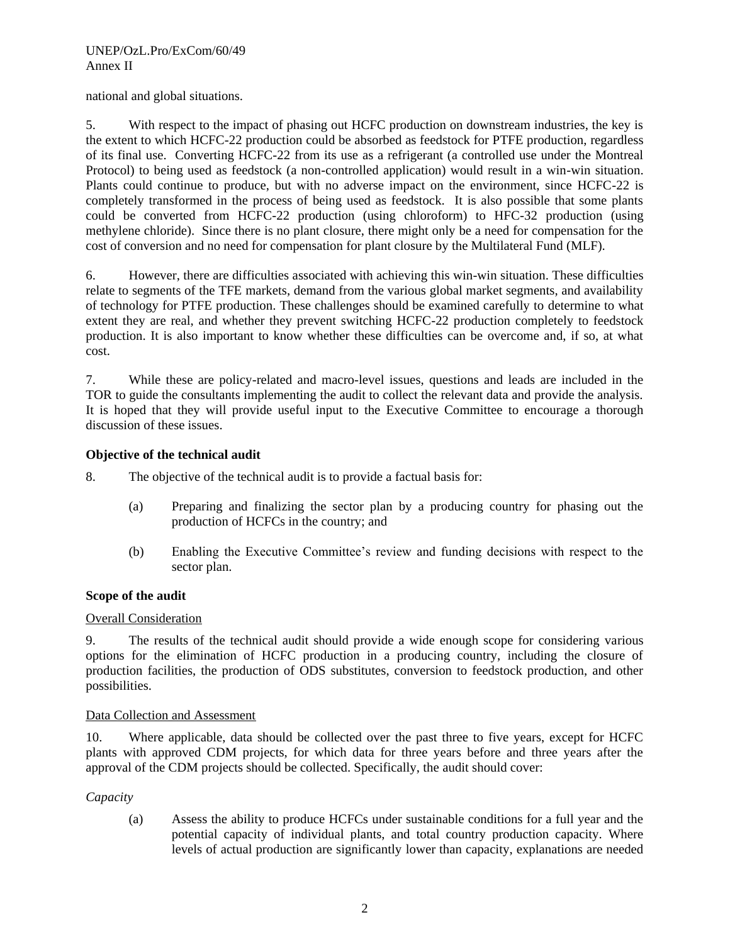national and global situations.

5. With respect to the impact of phasing out HCFC production on downstream industries, the key is the extent to which HCFC-22 production could be absorbed as feedstock for PTFE production, regardless of its final use. Converting HCFC-22 from its use as a refrigerant (a controlled use under the Montreal Protocol) to being used as feedstock (a non-controlled application) would result in a win-win situation. Plants could continue to produce, but with no adverse impact on the environment, since HCFC-22 is completely transformed in the process of being used as feedstock. It is also possible that some plants could be converted from HCFC-22 production (using chloroform) to HFC-32 production (using methylene chloride). Since there is no plant closure, there might only be a need for compensation for the cost of conversion and no need for compensation for plant closure by the Multilateral Fund (MLF).

6. However, there are difficulties associated with achieving this win-win situation. These difficulties relate to segments of the TFE markets, demand from the various global market segments, and availability of technology for PTFE production. These challenges should be examined carefully to determine to what extent they are real, and whether they prevent switching HCFC-22 production completely to feedstock production. It is also important to know whether these difficulties can be overcome and, if so, at what cost.

7. While these are policy-related and macro-level issues, questions and leads are included in the TOR to guide the consultants implementing the audit to collect the relevant data and provide the analysis. It is hoped that they will provide useful input to the Executive Committee to encourage a thorough discussion of these issues.

#### **Objective of the technical audit**

8. The objective of the technical audit is to provide a factual basis for:

- (a) Preparing and finalizing the sector plan by a producing country for phasing out the production of HCFCs in the country; and
- (b) Enabling the Executive Committee's review and funding decisions with respect to the sector plan.

#### **Scope of the audit**

#### Overall Consideration

9. The results of the technical audit should provide a wide enough scope for considering various options for the elimination of HCFC production in a producing country, including the closure of production facilities, the production of ODS substitutes, conversion to feedstock production, and other possibilities.

#### Data Collection and Assessment

10. Where applicable, data should be collected over the past three to five years, except for HCFC plants with approved CDM projects, for which data for three years before and three years after the approval of the CDM projects should be collected. Specifically, the audit should cover:

#### *Capacity*

(a) Assess the ability to produce HCFCs under sustainable conditions for a full year and the potential capacity of individual plants, and total country production capacity. Where levels of actual production are significantly lower than capacity, explanations are needed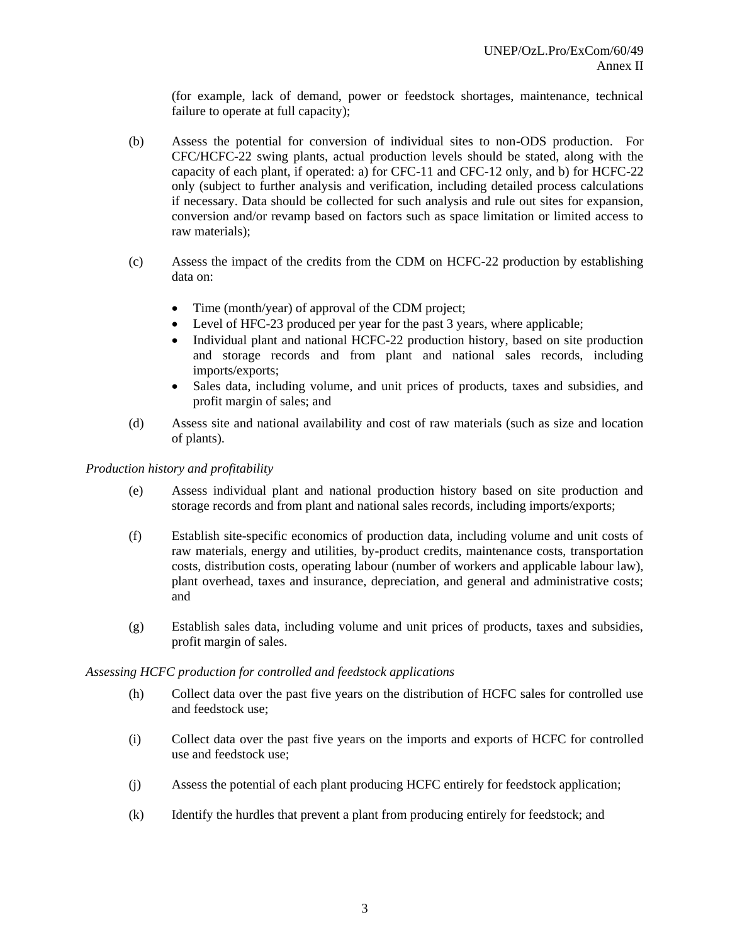(for example, lack of demand, power or feedstock shortages, maintenance, technical failure to operate at full capacity);

- (b) Assess the potential for conversion of individual sites to non-ODS production. For CFC/HCFC-22 swing plants, actual production levels should be stated, along with the capacity of each plant, if operated: a) for CFC-11 and CFC-12 only, and b) for HCFC-22 only (subject to further analysis and verification, including detailed process calculations if necessary. Data should be collected for such analysis and rule out sites for expansion, conversion and/or revamp based on factors such as space limitation or limited access to raw materials);
- (c) Assess the impact of the credits from the CDM on HCFC-22 production by establishing data on:
	- Time (month/year) of approval of the CDM project;
	- Level of HFC-23 produced per year for the past 3 years, where applicable;
	- Individual plant and national HCFC-22 production history, based on site production and storage records and from plant and national sales records, including imports/exports;
	- Sales data, including volume, and unit prices of products, taxes and subsidies, and profit margin of sales; and
- (d) Assess site and national availability and cost of raw materials (such as size and location of plants).

#### *Production history and profitability*

- (e) Assess individual plant and national production history based on site production and storage records and from plant and national sales records, including imports/exports;
- (f) Establish site-specific economics of production data, including volume and unit costs of raw materials, energy and utilities, by-product credits, maintenance costs, transportation costs, distribution costs, operating labour (number of workers and applicable labour law), plant overhead, taxes and insurance, depreciation, and general and administrative costs; and
- (g) Establish sales data, including volume and unit prices of products, taxes and subsidies, profit margin of sales.

#### *Assessing HCFC production for controlled and feedstock applications*

- (h) Collect data over the past five years on the distribution of HCFC sales for controlled use and feedstock use;
- (i) Collect data over the past five years on the imports and exports of HCFC for controlled use and feedstock use;
- (j) Assess the potential of each plant producing HCFC entirely for feedstock application;
- (k) Identify the hurdles that prevent a plant from producing entirely for feedstock; and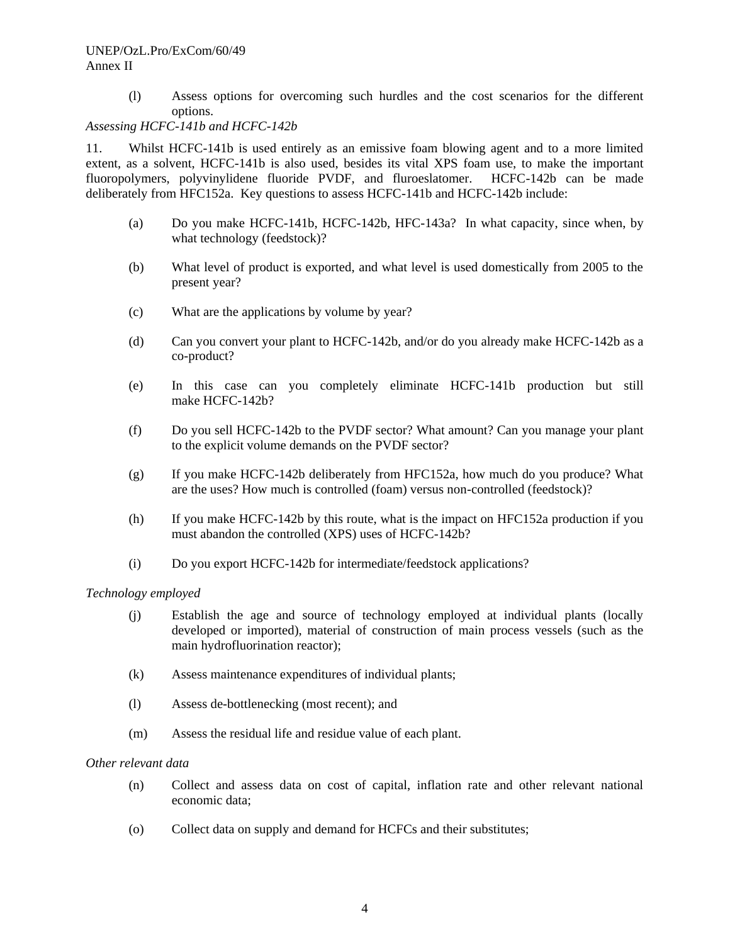#### UNEP/OzL.Pro/ExCom/60/49 Annex II

(l) Assess options for overcoming such hurdles and the cost scenarios for the different options.

#### *Assessing HCFC-141b and HCFC-142b*

11. Whilst HCFC-141b is used entirely as an emissive foam blowing agent and to a more limited extent, as a solvent, HCFC-141b is also used, besides its vital XPS foam use, to make the important fluoropolymers, polyvinylidene fluoride PVDF, and fluroeslatomer. HCFC-142b can be made deliberately from HFC152a. Key questions to assess HCFC-141b and HCFC-142b include:

- (a) Do you make HCFC-141b, HCFC-142b, HFC-143a? In what capacity, since when, by what technology (feedstock)?
- (b) What level of product is exported, and what level is used domestically from 2005 to the present year?
- (c) What are the applications by volume by year?
- (d) Can you convert your plant to HCFC-142b, and/or do you already make HCFC-142b as a co-product?
- (e) In this case can you completely eliminate HCFC-141b production but still make HCFC-142b?
- (f) Do you sell HCFC-142b to the PVDF sector? What amount? Can you manage your plant to the explicit volume demands on the PVDF sector?
- (g) If you make HCFC-142b deliberately from HFC152a, how much do you produce? What are the uses? How much is controlled (foam) versus non-controlled (feedstock)?
- (h) If you make HCFC-142b by this route, what is the impact on HFC152a production if you must abandon the controlled (XPS) uses of HCFC-142b?
- (i) Do you export HCFC-142b for intermediate/feedstock applications?

#### *Technology employed*

- (j) Establish the age and source of technology employed at individual plants (locally developed or imported), material of construction of main process vessels (such as the main hydrofluorination reactor);
- (k) Assess maintenance expenditures of individual plants;
- (l) Assess de-bottlenecking (most recent); and
- (m) Assess the residual life and residue value of each plant.

#### *Other relevant data*

- (n) Collect and assess data on cost of capital, inflation rate and other relevant national economic data;
- (o) Collect data on supply and demand for HCFCs and their substitutes;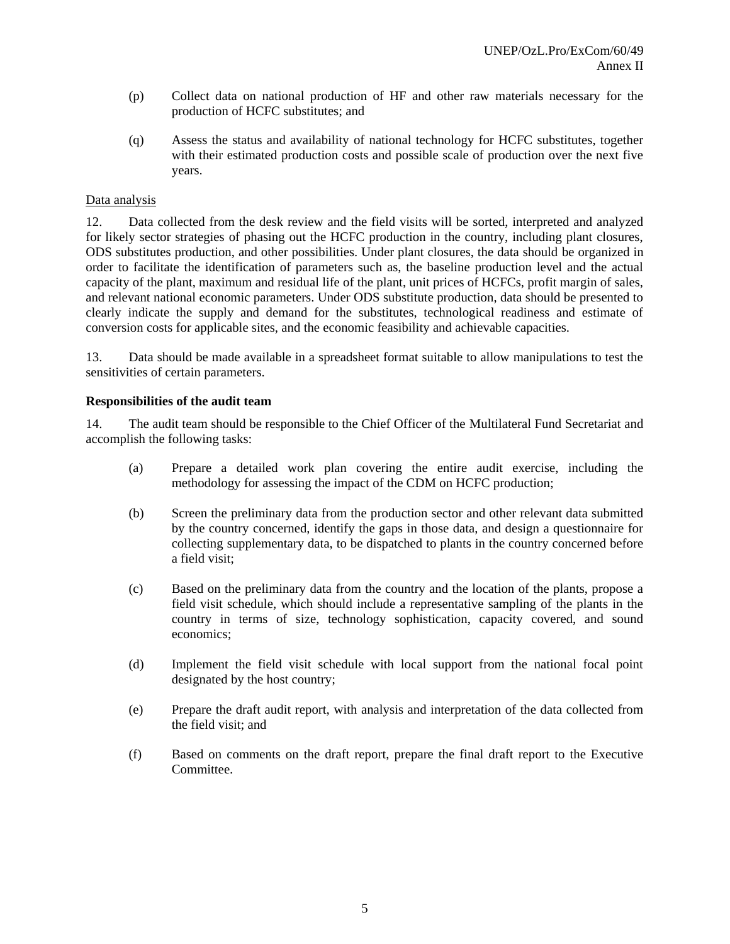- (p) Collect data on national production of HF and other raw materials necessary for the production of HCFC substitutes; and
- (q) Assess the status and availability of national technology for HCFC substitutes, together with their estimated production costs and possible scale of production over the next five years.

#### Data analysis

12. Data collected from the desk review and the field visits will be sorted, interpreted and analyzed for likely sector strategies of phasing out the HCFC production in the country, including plant closures, ODS substitutes production, and other possibilities. Under plant closures, the data should be organized in order to facilitate the identification of parameters such as, the baseline production level and the actual capacity of the plant, maximum and residual life of the plant, unit prices of HCFCs, profit margin of sales, and relevant national economic parameters. Under ODS substitute production, data should be presented to clearly indicate the supply and demand for the substitutes, technological readiness and estimate of conversion costs for applicable sites, and the economic feasibility and achievable capacities.

13. Data should be made available in a spreadsheet format suitable to allow manipulations to test the sensitivities of certain parameters.

#### **Responsibilities of the audit team**

14. The audit team should be responsible to the Chief Officer of the Multilateral Fund Secretariat and accomplish the following tasks:

- (a) Prepare a detailed work plan covering the entire audit exercise, including the methodology for assessing the impact of the CDM on HCFC production;
- (b) Screen the preliminary data from the production sector and other relevant data submitted by the country concerned, identify the gaps in those data, and design a questionnaire for collecting supplementary data, to be dispatched to plants in the country concerned before a field visit;
- (c) Based on the preliminary data from the country and the location of the plants, propose a field visit schedule, which should include a representative sampling of the plants in the country in terms of size, technology sophistication, capacity covered, and sound economics;
- (d) Implement the field visit schedule with local support from the national focal point designated by the host country;
- (e) Prepare the draft audit report, with analysis and interpretation of the data collected from the field visit; and
- (f) Based on comments on the draft report, prepare the final draft report to the Executive Committee.